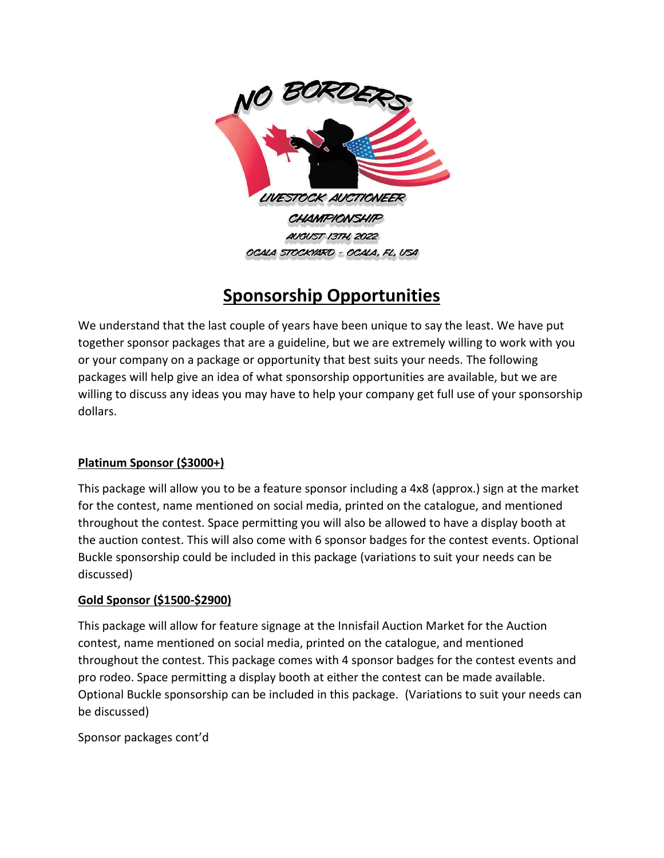

# **Sponsorship Opportunities**

We understand that the last couple of years have been unique to say the least. We have put together sponsor packages that are a guideline, but we are extremely willing to work with you or your company on a package or opportunity that best suits your needs. The following packages will help give an idea of what sponsorship opportunities are available, but we are willing to discuss any ideas you may have to help your company get full use of your sponsorship dollars.

# **Platinum Sponsor (\$3000+)**

This package will allow you to be a feature sponsor including a 4x8 (approx.) sign at the market for the contest, name mentioned on social media, printed on the catalogue, and mentioned throughout the contest. Space permitting you will also be allowed to have a display booth at the auction contest. This will also come with 6 sponsor badges for the contest events. Optional Buckle sponsorship could be included in this package (variations to suit your needs can be discussed)

# **Gold Sponsor (\$1500-\$2900)**

This package will allow for feature signage at the Innisfail Auction Market for the Auction contest, name mentioned on social media, printed on the catalogue, and mentioned throughout the contest. This package comes with 4 sponsor badges for the contest events and pro rodeo. Space permitting a display booth at either the contest can be made available. Optional Buckle sponsorship can be included in this package. (Variations to suit your needs can be discussed)

Sponsor packages cont'd